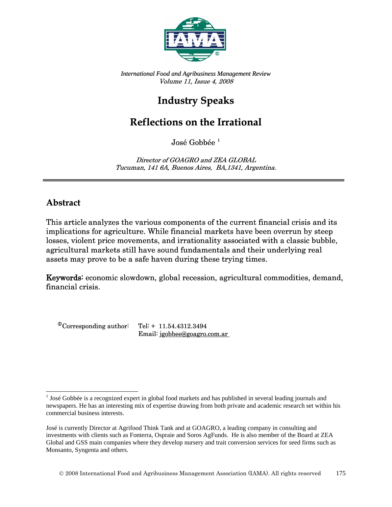

*International Food and Agribusiness Management Review*  Volume 11, Issue 4, 2008

## **Industry Speaks**

## **Reflections on the Irrational**

José Gobbée<sup>[1](#page-0-0)</sup>

Director of GOAGRO and ZEA GLOBAL Tucuman, 141 6A, Buenos Aires, BA,1341, Argentina.

## **Abstract**

l

This article analyzes the various components of the current financial crisis and its implications for agriculture. While financial markets have been overrun by steep losses, violent price movements, and irrationality associated with a classic bubble, agricultural markets still have sound fundamentals and their underlying real assets may prove to be a safe haven during these trying times.

Keywords: economic slowdown, global recession, agricultural commodities, demand, financial crisis.

 $^{\circ}$ Corresponding author: Tel: + 11.54.4312.3494 Email: jgobbee@goagro.com.ar

<span id="page-0-0"></span> $1$  José Gobbée is a recognized expert in global food markets and has published in several leading journals and newspapers. He has an interesting mix of expertise drawing from both private and academic research set within his commercial business interests.

José is currently Director at Agrifood Think Tank and at GOAGRO, a leading company in consulting and investments with clients such as Fonterra, Ospraie and Soros AgFunds. He is also member of the Board at ZEA Global and GSS main companies where they develop nursery and trait conversion services for seed firms such as Monsanto, Syngenta and others.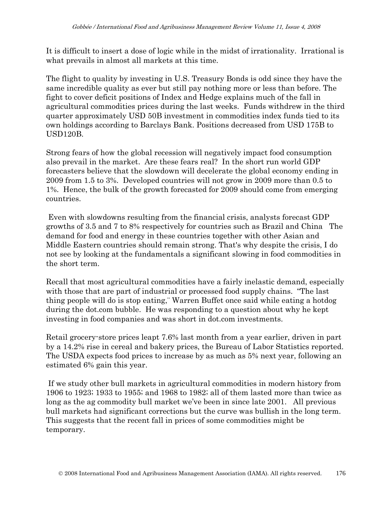It is difficult to insert a dose of logic while in the midst of irrationality. Irrational is what prevails in almost all markets at this time.

The flight to quality by investing in U.S. Treasury Bonds is odd since they have the same incredible quality as ever but still pay nothing more or less than before. The fight to cover deficit positions of Index and Hedge explains much of the fall in agricultural commodities prices during the last weeks. Funds withdrew in the third quarter approximately USD 50B investment in commodities index funds tied to its own holdings according to Barclays Bank. Positions decreased from USD 175B to USD120B.

Strong fears of how the global recession will negatively impact food consumption also prevail in the market. Are these fears real? In the short run world GDP forecasters believe that the slowdown will decelerate the global economy ending in 2009 from 1.5 to 3%. Developed countries will not grow in 2009 more than 0.5 to 1%. Hence, the bulk of the growth forecasted for 2009 should come from emerging countries.

 Even with slowdowns resulting from the financial crisis, analysts forecast GDP growths of 3.5 and 7 to 8% respectively for countries such as Brazil and China The demand for food and energy in these countries together with other Asian and Middle Eastern countries should remain strong. That's why despite the crisis, I do not see by looking at the fundamentals a significant slowing in food commodities in the short term.

Recall that most agricultural commodities have a fairly inelastic demand, especially with those that are part of industrial or processed food supply chains. "The last thing people will do is stop eating,¨ Warren Buffet once said while eating a hotdog during the dot.com bubble. He was responding to a question about why he kept investing in food companies and was short in dot.com investments.

Retail grocery-store prices leapt 7.6% last month from a year earlier, driven in part by a 14.2% rise in cereal and bakery prices, the Bureau of Labor Statistics reported. The USDA expects food prices to increase by as much as 5% next year, following an estimated 6% gain this year.

 If we study other bull markets in agricultural commodities in modern history from 1906 to 1923; 1933 to 1955; and 1968 to 1982; all of them lasted more than twice as long as the ag commodity bull market we've been in since late 2001. All previous bull markets had significant corrections but the curve was bullish in the long term. This suggests that the recent fall in prices of some commodities might be temporary.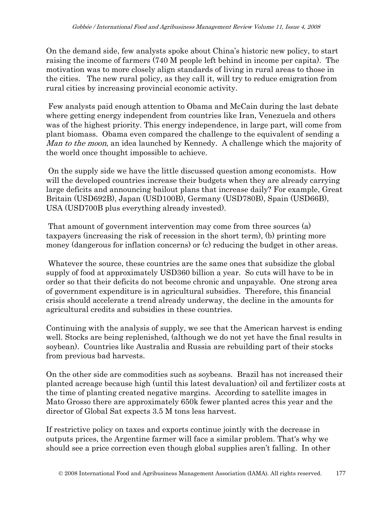On the demand side, few analysts spoke about China's historic new policy, to start raising the income of farmers (740 M people left behind in income per capita). The motivation was to more closely align standards of living in rural areas to those in the cities. The new rural policy, as they call it, will try to reduce emigration from rural cities by increasing provincial economic activity.

 Few analysts paid enough attention to Obama and McCain during the last debate where getting energy independent from countries like Iran, Venezuela and others was of the highest priority. This energy independence, in large part, will come from plant biomass. Obama even compared the challenge to the equivalent of sending a *Man to the moon*, an idea launched by Kennedy. A challenge which the majority of the world once thought impossible to achieve.

 On the supply side we have the little discussed question among economists. How will the developed countries increase their budgets when they are already carrying large deficits and announcing bailout plans that increase daily? For example, Great Britain (USD692B), Japan (USD100B), Germany (USD780B), Spain (USD66B), USA (USD700B plus everything already invested).

 That amount of government intervention may come from three sources (a) taxpayers (increasing the risk of recession in the short term), (b) printing more money (dangerous for inflation concerns) or (c) reducing the budget in other areas.

 Whatever the source, these countries are the same ones that subsidize the global supply of food at approximately USD360 billion a year. So cuts will have to be in order so that their deficits do not become chronic and unpayable. One strong area of government expenditure is in agricultural subsidies. Therefore, this financial crisis should accelerate a trend already underway, the decline in the amounts for agricultural credits and subsidies in these countries.

Continuing with the analysis of supply, we see that the American harvest is ending well. Stocks are being replenished, (although we do not yet have the final results in soybean). Countries like Australia and Russia are rebuilding part of their stocks from previous bad harvests.

On the other side are commodities such as soybeans. Brazil has not increased their planted acreage because high (until this latest devaluation) oil and fertilizer costs at the time of planting created negative margins. According to satellite images in Mato Grosso there are approximately 650k fewer planted acres this year and the director of Global Sat expects 3.5 M tons less harvest.

If restrictive policy on taxes and exports continue jointly with the decrease in outputs prices, the Argentine farmer will face a similar problem. That's why we should see a price correction even though global supplies aren't falling. In other